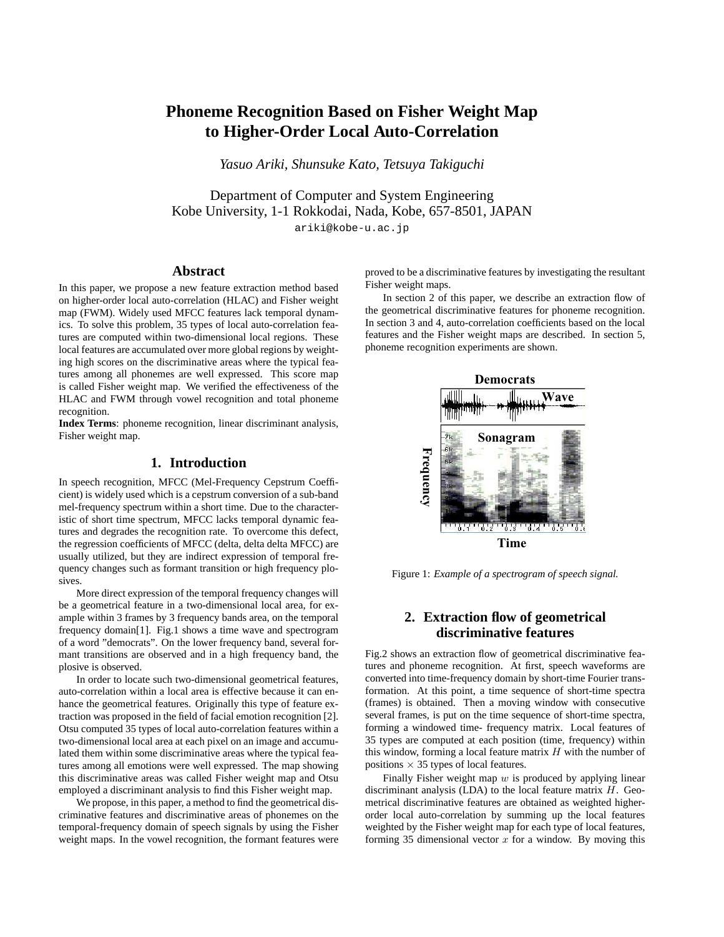# **Phoneme Recognition Based on Fisher Weight Map to Higher-Order Local Auto-Correlation**

*Yasuo Ariki, Shunsuke Kato, Tetsuya Takiguchi*

Department of Computer and System Engineering Kobe University, 1-1 Rokkodai, Nada, Kobe, 657-8501, JAPAN ariki@kobe-u.ac.jp

## **Abstract**

In this paper, we propose a new feature extraction method based on higher-order local auto-correlation (HLAC) and Fisher weight map (FWM). Widely used MFCC features lack temporal dynamics. To solve this problem, 35 types of local auto-correlation features are computed within two-dimensional local regions. These local features are accumulated over more global regions by weighting high scores on the discriminative areas where the typical features among all phonemes are well expressed. This score map is called Fisher weight map. We verified the effectiveness of the HLAC and FWM through vowel recognition and total phoneme recognition.

**Index Terms**: phoneme recognition, linear discriminant analysis, Fisher weight map.

## **1. Introduction**

In speech recognition, MFCC (Mel-Frequency Cepstrum Coefficient) is widely used which is a cepstrum conversion of a sub-band mel-frequency spectrum within a short time. Due to the characteristic of short time spectrum, MFCC lacks temporal dynamic features and degrades the recognition rate. To overcome this defect, the regression coefficients of MFCC (delta, delta delta MFCC) are usually utilized, but they are indirect expression of temporal frequency changes such as formant transition or high frequency plosives.

More direct expression of the temporal frequency changes will be a geometrical feature in a two-dimensional local area, for example within 3 frames by 3 frequency bands area, on the temporal frequency domain[1]. Fig.1 shows a time wave and spectrogram of a word "democrats". On the lower frequency band, several formant transitions are observed and in a high frequency band, the plosive is observed.

In order to locate such two-dimensional geometrical features, auto-correlation within a local area is effective because it can enhance the geometrical features. Originally this type of feature extraction was proposed in the field of facial emotion recognition [2]. Otsu computed 35 types of local auto-correlation features within a two-dimensional local area at each pixel on an image and accumulated them within some discriminative areas where the typical features among all emotions were well expressed. The map showing this discriminative areas was called Fisher weight map and Otsu employed a discriminant analysis to find this Fisher weight map.

We propose, in this paper, a method to find the geometrical discriminative features and discriminative areas of phonemes on the temporal-frequency domain of speech signals by using the Fisher weight maps. In the vowel recognition, the formant features were proved to be a discriminative features by investigating the resultant Fisher weight maps.

In section 2 of this paper, we describe an extraction flow of the geometrical discriminative features for phoneme recognition. In section 3 and 4, auto-correlation coefficients based on the local features and the Fisher weight maps are described. In section 5, phoneme recognition experiments are shown.



Figure 1: *Example of a spectrogram of speech signal.*

## **2. Extraction flow of geometrical discriminative features**

Fig.2 shows an extraction flow of geometrical discriminative features and phoneme recognition. At first, speech waveforms are converted into time-frequency domain by short-time Fourier transformation. At this point, a time sequence of short-time spectra (frames) is obtained. Then a moving window with consecutive several frames, is put on the time sequence of short-time spectra, forming a windowed time- frequency matrix. Local features of 35 types are computed at each position (time, frequency) within this window, forming a local feature matrix  $H$  with the number of positions  $\times$  35 types of local features.

Finally Fisher weight map  $w$  is produced by applying linear discriminant analysis (LDA) to the local feature matrix  $H$ . Geometrical discriminative features are obtained as weighted higherorder local auto-correlation by summing up the local features weighted by the Fisher weight map for each type of local features, forming 35 dimensional vector  $x$  for a window. By moving this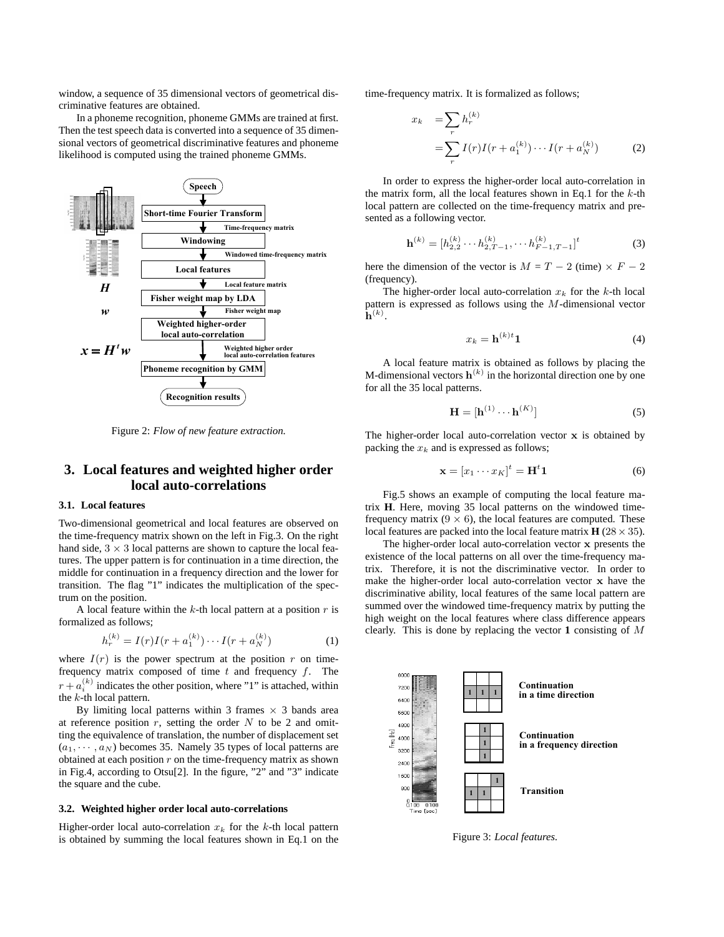window, a sequence of 35 dimensional vectors of geometrical discriminative features are obtained.

In a phoneme recognition, phoneme GMMs are trained at first. Then the test speech data is converted into a sequence of 35 dimensional vectors of geometrical discriminative features and phoneme likelihood is computed using the trained phoneme GMMs.



Figure 2: *Flow of new feature extraction.*

# **3. Local features and weighted higher order local auto-correlations**

### **3.1. Local features**

Two-dimensional geometrical and local features are observed on the time-frequency matrix shown on the left in Fig.3. On the right hand side,  $3 \times 3$  local patterns are shown to capture the local features. The upper pattern is for continuation in a time direction, the middle for continuation in a frequency direction and the lower for transition. The flag "1" indicates the multiplication of the spectrum on the position.

A local feature within the  $k$ -th local pattern at a position  $r$  is formalized as follows;

$$
h_r^{(k)} = I(r)I(r + a_1^{(k)}) \cdots I(r + a_N^{(k)})
$$
 (1)

where  $I(r)$  is the power spectrum at the position r on timefrequency matrix composed of time  $t$  and frequency  $f$ . The  $r + a_i^{(k)}$  indicates the other position, where "1" is attached, within the k-th local pattern.

By limiting local patterns within 3 frames  $\times$  3 bands area at reference position  $r$ , setting the order  $N$  to be 2 and omitting the equivalence of translation, the number of displacement set  $(a_1, \dots, a_N)$  becomes 35. Namely 35 types of local patterns are obtained at each position  $r$  on the time-frequency matrix as shown in Fig.4, according to Otsu[2]. In the figure, "2" and "3" indicate the square and the cube.

#### **3.2. Weighted higher order local auto-correlations**

Higher-order local auto-correlation  $x_k$  for the k-th local pattern is obtained by summing the local features shown in Eq.1 on the time-frequency matrix. It is formalized as follows;

$$
x_k = \sum_r h_r^{(k)}
$$
  
= 
$$
\sum_r I(r)I(r + a_1^{(k)}) \cdots I(r + a_N^{(k)})
$$
 (2)

In order to express the higher-order local auto-correlation in the matrix form, all the local features shown in Eq.1 for the  $k$ -th local pattern are collected on the time-frequency matrix and presented as a following vector.

$$
\mathbf{h}^{(k)} = [h_{2,2}^{(k)} \cdots h_{2,T-1}^{(k)}, \cdots h_{F-1,T-1}^{(k)}]^t
$$
 (3)

here the dimension of the vector is  $M = T - 2$  (time)  $\times F - 2$ (frequency).

The higher-order local auto-correlation  $x_k$  for the k-th local pattern is expressed as follows using the M-dimensional vector  $\mathbf{\dot{h}}^{(k)}$ .

$$
x_k = \mathbf{h}^{(k)t} \mathbf{1} \tag{4}
$$

A local feature matrix is obtained as follows by placing the M-dimensional vectors  $\mathbf{h}^{(k)}$  in the horizontal direction one by one for all the 35 local patterns.

$$
\mathbf{H} = [\mathbf{h}^{(1)} \cdots \mathbf{h}^{(K)}] \tag{5}
$$

The higher-order local auto-correlation vector  $x$  is obtained by packing the  $x_k$  and is expressed as follows;

$$
\mathbf{x} = [x_1 \cdots x_K]^t = \mathbf{H}^t \mathbf{1}
$$
 (6)

Fig.5 shows an example of computing the local feature matrix **H**. Here, moving 35 local patterns on the windowed timefrequency matrix  $(9 \times 6)$ , the local features are computed. These local features are packed into the local feature matrix  $H(28 \times 35)$ .

The higher-order local auto-correlation vector x presents the existence of the local patterns on all over the time-frequency matrix. Therefore, it is not the discriminative vector. In order to make the higher-order local auto-correlation vector x have the discriminative ability, local features of the same local pattern are summed over the windowed time-frequency matrix by putting the high weight on the local features where class difference appears clearly. This is done by replacing the vector **1** consisting of M



Figure 3: *Local features.*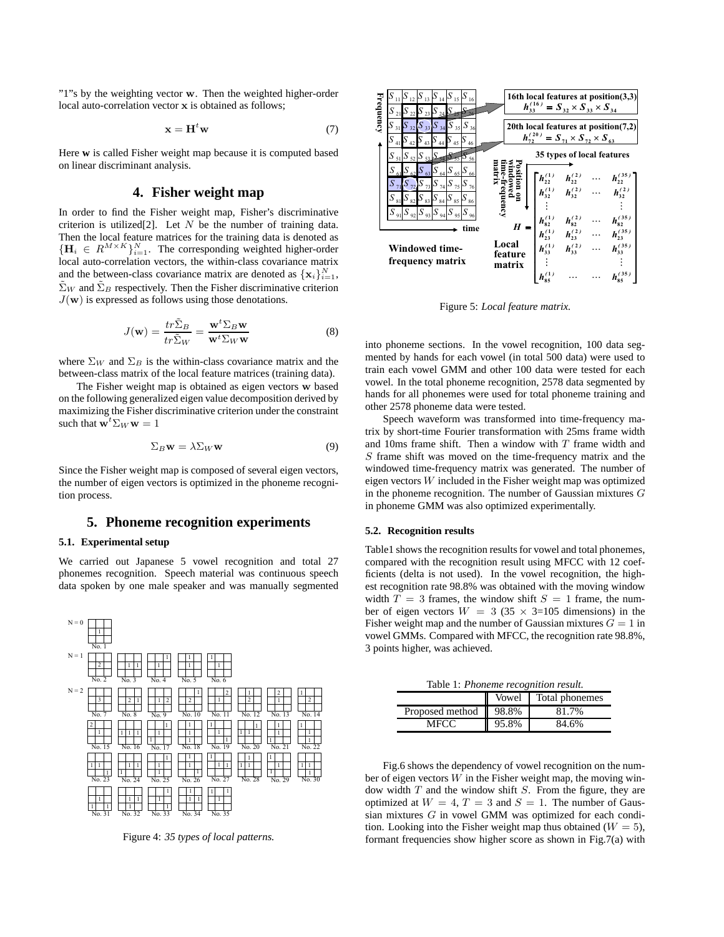"1"s by the weighting vector w. Then the weighted higher-order local auto-correlation vector x is obtained as follows;

$$
\mathbf{x} = \mathbf{H}^t \mathbf{w} \tag{7}
$$

Here **w** is called Fisher weight map because it is computed based on linear discriminant analysis.

## **4. Fisher weight map**

In order to find the Fisher weight map, Fisher's discriminative criterion is utilized[2]. Let  $N$  be the number of training data. Then the local feature matrices for the training data is denoted as  ${ {\left\{ {\bf{H}}_i \in {R^{M \times K}} \right\}}_{i=1}^N}$ . The corresponding weighted higher-order local auto-correlation vectors, the within-class covariance matrix and the between-class covariance matrix are denoted as  $\{x_i\}_{i=1}^N$ ,  $\tilde{\Sigma}_W$  and  $\tilde{\Sigma}_B$  respectively. Then the Fisher discriminative criterion  $J(\mathbf{w})$  is expressed as follows using those denotations.

$$
J(\mathbf{w}) = \frac{tr\tilde{\Sigma}_B}{tr\tilde{\Sigma}_W} = \frac{\mathbf{w}^t \Sigma_B \mathbf{w}}{\mathbf{w}^t \Sigma_W \mathbf{w}} \tag{8}
$$

where  $\Sigma_W$  and  $\Sigma_B$  is the within-class covariance matrix and the between-class matrix of the local feature matrices (training data).

The Fisher weight map is obtained as eigen vectors w based on the following generalized eigen value decomposition derived by maximizing the Fisher discriminative criterion under the constraint such that  $\mathbf{w}^t \Sigma_W \mathbf{w} = 1$ 

$$
\Sigma_B \mathbf{w} = \lambda \Sigma_W \mathbf{w} \tag{9}
$$

Since the Fisher weight map is composed of several eigen vectors, the number of eigen vectors is optimized in the phoneme recognition process.

## **5. Phoneme recognition experiments**

#### **5.1. Experimental setup**

We carried out Japanese 5 vowel recognition and total 27 phonemes recognition. Speech material was continuous speech data spoken by one male speaker and was manually segmented



Figure 4: *35 types of local patterns.*



Figure 5: *Local feature matrix.*

into phoneme sections. In the vowel recognition, 100 data segmented by hands for each vowel (in total 500 data) were used to train each vowel GMM and other 100 data were tested for each vowel. In the total phoneme recognition, 2578 data segmented by hands for all phonemes were used for total phoneme training and other 2578 phoneme data were tested.

Speech waveform was transformed into time-frequency matrix by short-time Fourier transformation with 25ms frame width and 10ms frame shift. Then a window with  $T$  frame width and S frame shift was moved on the time-frequency matrix and the windowed time-frequency matrix was generated. The number of eigen vectors W included in the Fisher weight map was optimized in the phoneme recognition. The number of Gaussian mixtures  $G$ in phoneme GMM was also optimized experimentally.

#### **5.2. Recognition results**

Table1 shows the recognition results for vowel and total phonemes, compared with the recognition result using MFCC with 12 coefficients (delta is not used). In the vowel recognition, the highest recognition rate 98.8% was obtained with the moving window width  $T = 3$  frames, the window shift  $S = 1$  frame, the number of eigen vectors  $W = 3 (35 \times 3=105)$  dimensions) in the Fisher weight map and the number of Gaussian mixtures  $G = 1$  in vowel GMMs. Compared with MFCC, the recognition rate 98.8%, 3 points higher, was achieved.

Table 1: *Phoneme recognition result.* Vowel Total phonemes Proposed method  $\vert$  98.8% 81.7% MFCC 95.8% 84.6%

Fig.6 shows the dependency of vowel recognition on the number of eigen vectors  $W$  in the Fisher weight map, the moving window width  $T$  and the window shift  $S$ . From the figure, they are optimized at  $W = 4$ ,  $T = 3$  and  $S = 1$ . The number of Gaussian mixtures G in vowel GMM was optimized for each condition. Looking into the Fisher weight map thus obtained ( $W = 5$ ), formant frequencies show higher score as shown in Fig.7(a) with